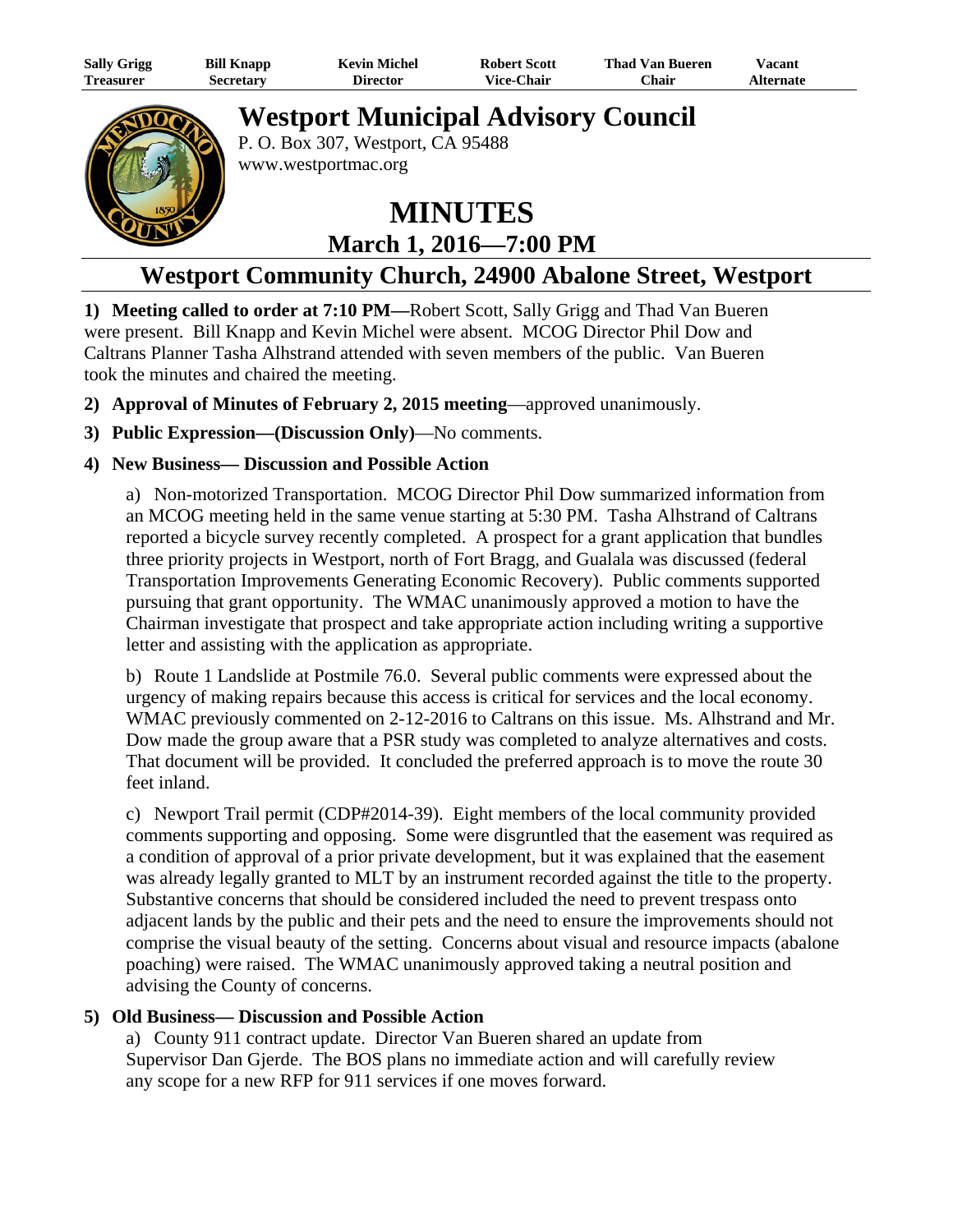| <b>Sally Grigg</b> | <b>Bill Knapp</b> | <b>Kevin Michel</b> | <b>Robert Scott</b> | <b>Thad Van Bueren</b> | Vacant           |
|--------------------|-------------------|---------------------|---------------------|------------------------|------------------|
| <b>Treasurer</b>   | Secretary         | Director            | <b>Vice-Chair</b>   | ′Chair                 | <b>Alternate</b> |

## **Westport Municipal Advisory Council**



P. O. Box 307, Westport, CA 95488 www.westportmac.org

# **MINUTES March 1, 2016—7:00 PM**

### **Westport Community Church, 24900 Abalone Street, Westport**

**1) Meeting called to order at 7:10 PM—**Robert Scott, Sally Grigg and Thad Van Bueren were present. Bill Knapp and Kevin Michel were absent. MCOG Director Phil Dow and Caltrans Planner Tasha Alhstrand attended with seven members of the public. Van Bueren took the minutes and chaired the meeting.

- **2) Approval of Minutes of February 2, 2015 meeting**—approved unanimously.
- **3) Public Expression—(Discussion Only)**—No comments.

#### **4) New Business— Discussion and Possible Action**

a) Non-motorized Transportation. MCOG Director Phil Dow summarized information from an MCOG meeting held in the same venue starting at 5:30 PM. Tasha Alhstrand of Caltrans reported a bicycle survey recently completed. A prospect for a grant application that bundles three priority projects in Westport, north of Fort Bragg, and Gualala was discussed (federal Transportation Improvements Generating Economic Recovery). Public comments supported pursuing that grant opportunity. The WMAC unanimously approved a motion to have the Chairman investigate that prospect and take appropriate action including writing a supportive letter and assisting with the application as appropriate.

b) Route 1 Landslide at Postmile 76.0. Several public comments were expressed about the urgency of making repairs because this access is critical for services and the local economy. WMAC previously commented on 2-12-2016 to Caltrans on this issue. Ms. Alhstrand and Mr. Dow made the group aware that a PSR study was completed to analyze alternatives and costs. That document will be provided. It concluded the preferred approach is to move the route 30 feet inland.

c) Newport Trail permit (CDP#2014-39). Eight members of the local community provided comments supporting and opposing. Some were disgruntled that the easement was required as a condition of approval of a prior private development, but it was explained that the easement was already legally granted to MLT by an instrument recorded against the title to the property. Substantive concerns that should be considered included the need to prevent trespass onto adjacent lands by the public and their pets and the need to ensure the improvements should not comprise the visual beauty of the setting. Concerns about visual and resource impacts (abalone poaching) were raised. The WMAC unanimously approved taking a neutral position and advising the County of concerns.

#### **5) Old Business— Discussion and Possible Action**

a) County 911 contract update. Director Van Bueren shared an update from Supervisor Dan Gjerde. The BOS plans no immediate action and will carefully review any scope for a new RFP for 911 services if one moves forward.